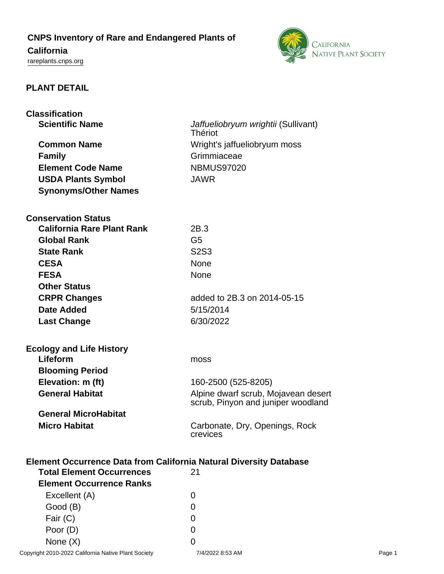# **CNPS Inventory of Rare and Endangered Plants of**

# **California**

<rareplants.cnps.org>



# **PLANT DETAIL**

| <b>Classification</b>                                                     |                                                                           |  |
|---------------------------------------------------------------------------|---------------------------------------------------------------------------|--|
| <b>Scientific Name</b>                                                    | Jaffueliobryum wrightii (Sullivant)<br><b>Thériot</b>                     |  |
| <b>Common Name</b>                                                        | Wright's jaffueliobryum moss                                              |  |
| <b>Family</b>                                                             | Grimmiaceae                                                               |  |
| <b>Element Code Name</b>                                                  | <b>NBMUS97020</b>                                                         |  |
|                                                                           | <b>JAWR</b>                                                               |  |
| <b>USDA Plants Symbol</b>                                                 |                                                                           |  |
| <b>Synonyms/Other Names</b>                                               |                                                                           |  |
| <b>Conservation Status</b>                                                |                                                                           |  |
| <b>California Rare Plant Rank</b>                                         | 2B.3                                                                      |  |
| <b>Global Rank</b>                                                        | G <sub>5</sub>                                                            |  |
| <b>State Rank</b>                                                         | <b>S2S3</b>                                                               |  |
| <b>CESA</b>                                                               | None                                                                      |  |
| <b>FESA</b>                                                               | None                                                                      |  |
| <b>Other Status</b>                                                       |                                                                           |  |
| <b>CRPR Changes</b>                                                       | added to 2B.3 on 2014-05-15                                               |  |
| Date Added                                                                | 5/15/2014                                                                 |  |
| <b>Last Change</b>                                                        | 6/30/2022                                                                 |  |
| <b>Ecology and Life History</b>                                           |                                                                           |  |
| Lifeform                                                                  | moss                                                                      |  |
| <b>Blooming Period</b>                                                    |                                                                           |  |
| Elevation: m (ft)                                                         | 160-2500 (525-8205)                                                       |  |
| <b>General Habitat</b>                                                    | Alpine dwarf scrub, Mojavean desert<br>scrub, Pinyon and juniper woodland |  |
| <b>General MicroHabitat</b>                                               |                                                                           |  |
| <b>Micro Habitat</b>                                                      | Carbonate, Dry, Openings, Rock<br>crevices                                |  |
| <b>Element Occurrence Data from California Natural Diversity Database</b> |                                                                           |  |
| <b>Total Element Occurrences</b>                                          | 21                                                                        |  |
| <b>Element Occurrence Ranks</b>                                           |                                                                           |  |
| Excellent (A)                                                             | 0                                                                         |  |
| Good (B)                                                                  | 0                                                                         |  |
| Fair (C)                                                                  | 0                                                                         |  |

None  $(X)$  0 Copyright 2010-2022 California Native Plant Society 7/4/2022 8:53 AM Page 1

Poor (D) 0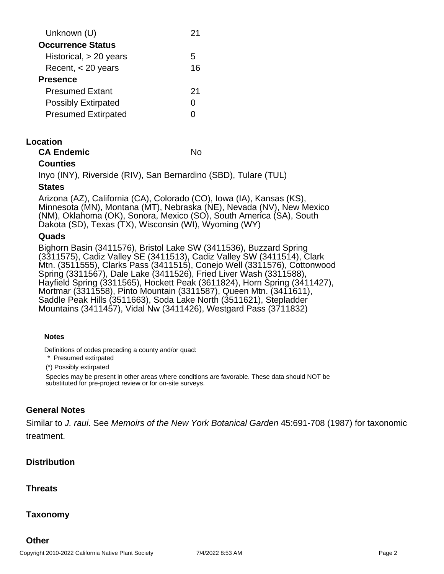| Unknown (U)                | ン1 |
|----------------------------|----|
| <b>Occurrence Status</b>   |    |
| Historical, $> 20$ years   | h. |
| Recent, $<$ 20 years       | 16 |
| <b>Presence</b>            |    |
| <b>Presumed Extant</b>     | 21 |
| <b>Possibly Extirpated</b> |    |
| <b>Presumed Extirpated</b> |    |
|                            |    |

### **Location**

| <b>CA Endemic</b> | No |
|-------------------|----|
|-------------------|----|

# **Counties**

Inyo (INY), Riverside (RIV), San Bernardino (SBD), Tulare (TUL)

#### **States**

Arizona (AZ), California (CA), Colorado (CO), Iowa (IA), Kansas (KS), Minnesota (MN), Montana (MT), Nebraska (NE), Nevada (NV), New Mexico (NM), Oklahoma (OK), Sonora, Mexico (SO), South America (SA), South Dakota (SD), Texas (TX), Wisconsin (WI), Wyoming (WY)

#### **Quads**

Bighorn Basin (3411576), Bristol Lake SW (3411536), Buzzard Spring (3311575), Cadiz Valley SE (3411513), Cadiz Valley SW (3411514), Clark Mtn. (3511555), Clarks Pass (3411515), Conejo Well (3311576), Cottonwood Spring (3311567), Dale Lake (3411526), Fried Liver Wash (3311588), Hayfield Spring (3311565), Hockett Peak (3611824), Horn Spring (3411427), Mortmar (3311558), Pinto Mountain (3311587), Queen Mtn. (3411611), Saddle Peak Hills (3511663), Soda Lake North (3511621), Stepladder Mountains (3411457), Vidal Nw (3411426), Westgard Pass (3711832)

#### **Notes**

Definitions of codes preceding a county and/or quad:

\* Presumed extirpated

(\*) Possibly extirpated

Species may be present in other areas where conditions are favorable. These data should NOT be substituted for pre-project review or for on-site surveys.

# **General Notes**

Similar to J. raui. See Memoirs of the New York Botanical Garden 45:691-708 (1987) for taxonomic treatment.

# **Distribution**

# **Threats**

# **Taxonomy**